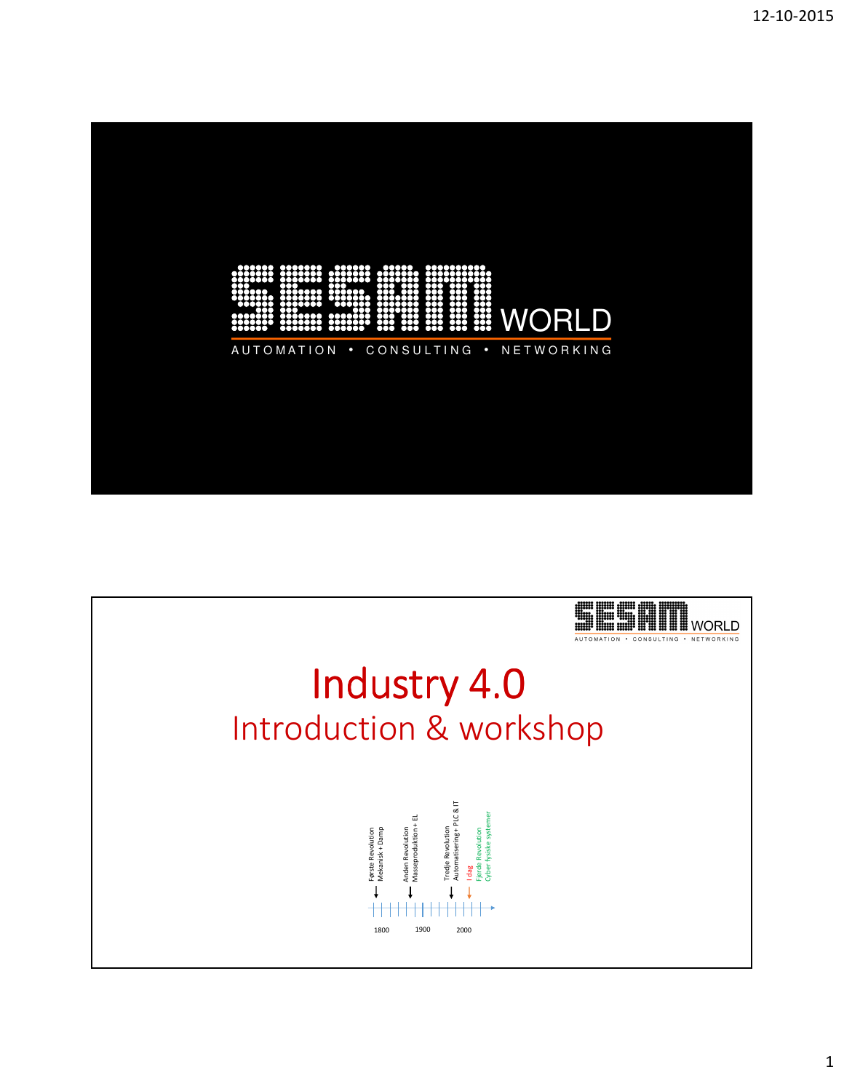

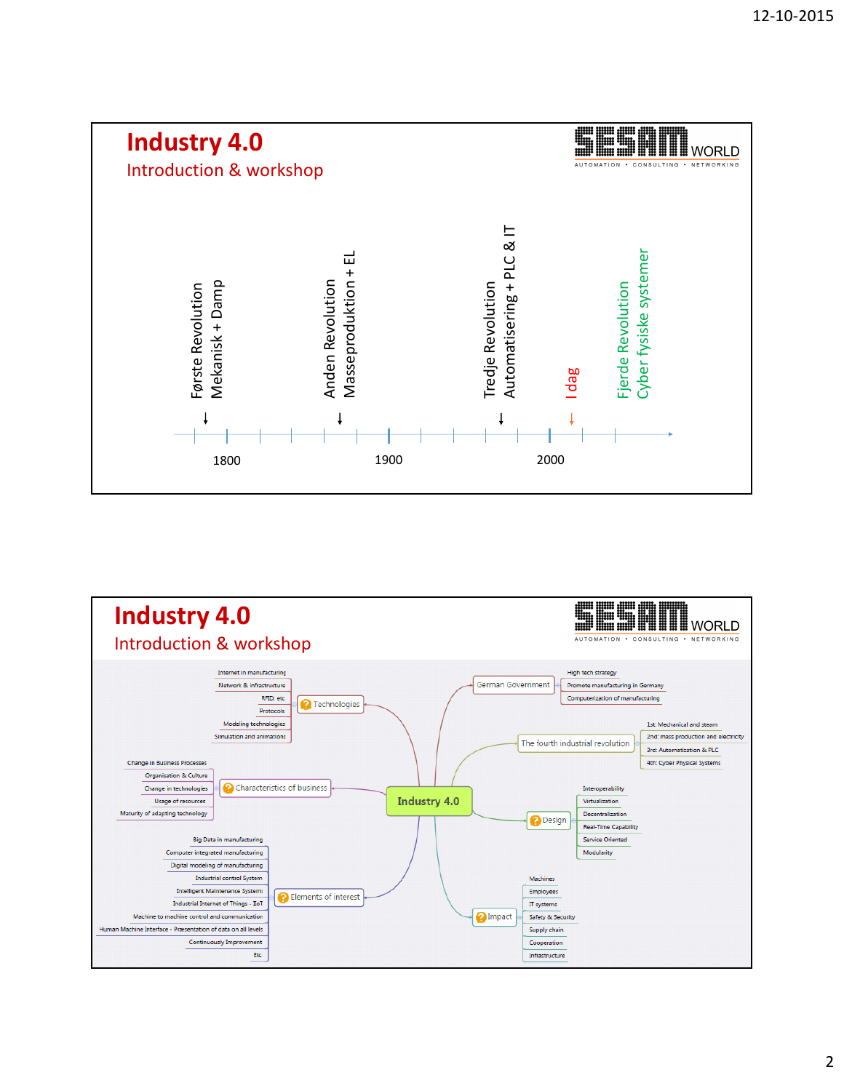

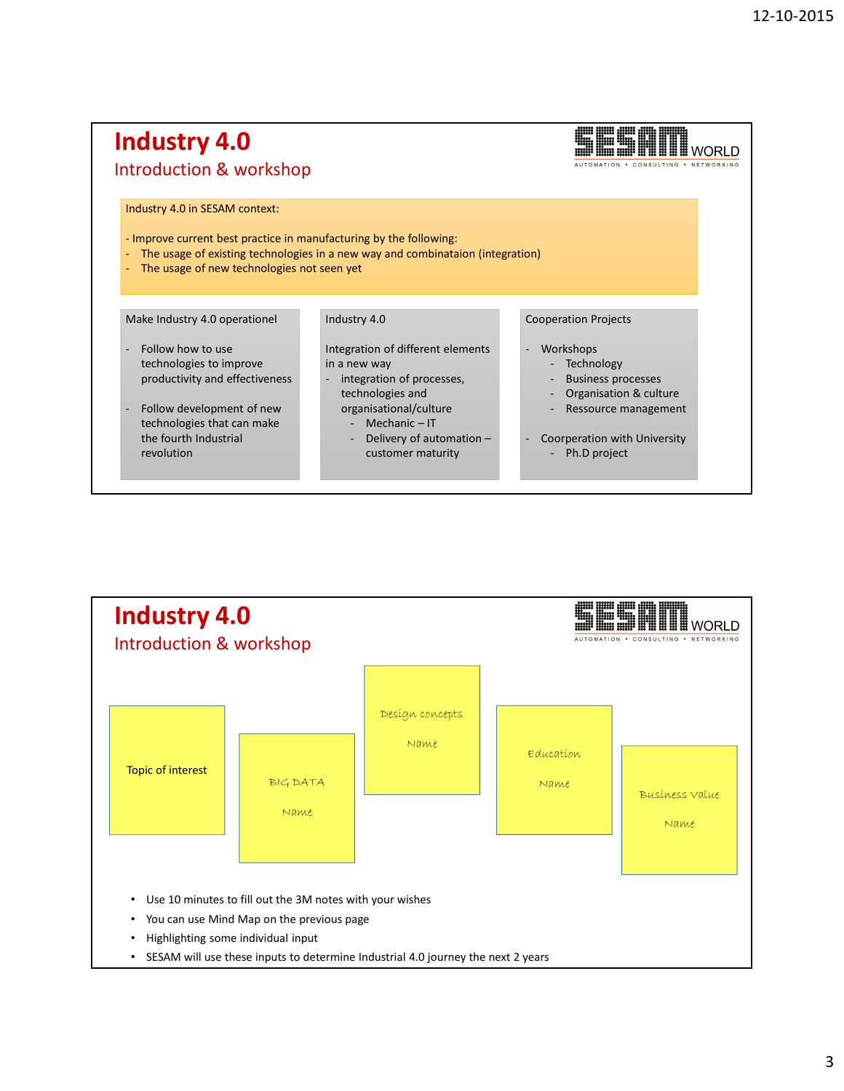